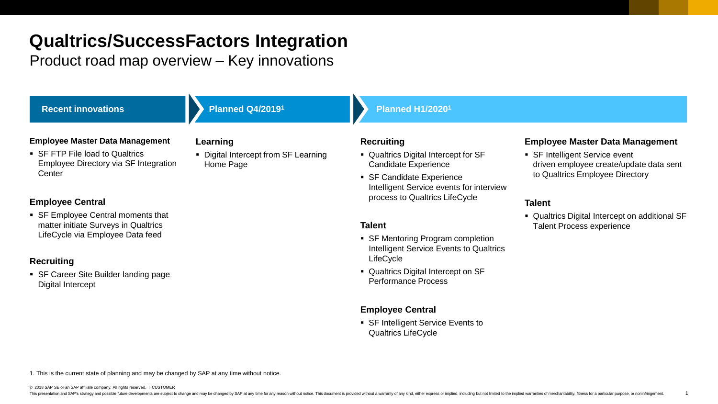# **Qualtrics/SuccessFactors Integration**

### Product road map overview – Key innovations

| <b>Recent innovations</b>                                                                                      | <b>Planned Q4/20191</b>                           | <b>Planned H1/20201</b>                                                                                 |                                                                                                              |
|----------------------------------------------------------------------------------------------------------------|---------------------------------------------------|---------------------------------------------------------------------------------------------------------|--------------------------------------------------------------------------------------------------------------|
| <b>Employee Master Data Management</b>                                                                         | Learning                                          | <b>Recruiting</b>                                                                                       | <b>Employee Master Data Management</b>                                                                       |
| • SF FTP File load to Qualtrics<br>Employee Directory via SF Integration<br>Center                             | • Digital Intercept from SF Learning<br>Home Page | • Qualtrics Digital Intercept for SF<br><b>Candidate Experience</b>                                     | • SF Intelligent Service event<br>driven employee create/update data sent<br>to Qualtrics Employee Directory |
|                                                                                                                |                                                   | • SF Candidate Experience<br>Intelligent Service events for interview<br>process to Qualtrics LifeCycle |                                                                                                              |
| <b>Employee Central</b>                                                                                        |                                                   |                                                                                                         | <b>Talent</b>                                                                                                |
| • SF Employee Central moments that<br>matter initiate Surveys in Qualtrics<br>LifeCycle via Employee Data feed |                                                   | <b>Talent</b>                                                                                           | • Qualtrics Digital Intercept on additional SF<br><b>Talent Process experience</b>                           |
|                                                                                                                |                                                   | • SF Mentoring Program completion<br>Intelligent Service Events to Qualtrics<br>LifeCycle               |                                                                                                              |
| <b>Recruiting</b><br>• SF Career Site Builder landing page                                                     |                                                   | • Qualtrics Digital Intercept on SF                                                                     |                                                                                                              |
| Digital Intercept                                                                                              |                                                   | <b>Performance Process</b>                                                                              |                                                                                                              |
|                                                                                                                |                                                   | <b>Employee Central</b>                                                                                 |                                                                                                              |
|                                                                                                                |                                                   | • SF Intelligent Service Events to<br><b>Qualtrics LifeCycle</b>                                        |                                                                                                              |

<sup>1.</sup> This is the current state of planning and may be changed by SAP at any time without notice.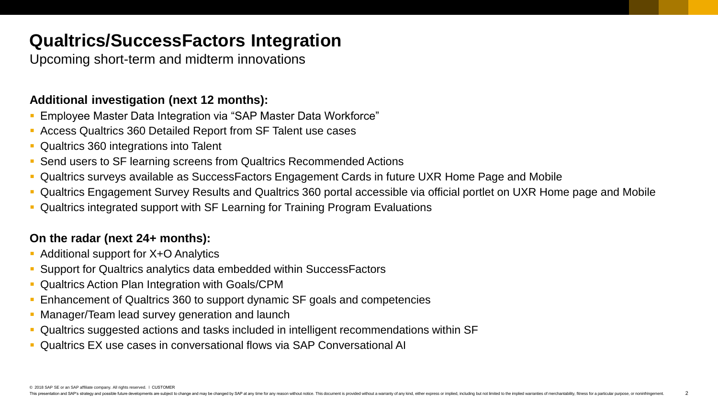### **Qualtrics/SuccessFactors Integration**

Upcoming short-term and midterm innovations

### **Additional investigation (next 12 months):**

- **Employee Master Data Integration via "SAP Master Data Workforce"**
- Access Qualtrics 360 Detailed Report from SF Talent use cases
- Qualtrics 360 integrations into Talent
- Send users to SF learning screens from Qualtrics Recommended Actions
- Qualtrics surveys available as SuccessFactors Engagement Cards in future UXR Home Page and Mobile
- Qualtrics Engagement Survey Results and Qualtrics 360 portal accessible via official portlet on UXR Home page and Mobile
- Qualtrics integrated support with SF Learning for Training Program Evaluations

### **On the radar (next 24+ months):**

- Additional support for X+O Analytics
- Support for Qualtrics analytics data embedded within SuccessFactors
- **Qualtrics Action Plan Integration with Goals/CPM**
- **Enhancement of Qualtrics 360 to support dynamic SF goals and competencies**
- **E** Manager/Team lead survey generation and launch
- Qualtrics suggested actions and tasks included in intelligent recommendations within SF
- Qualtrics EX use cases in conversational flows via SAP Conversational AI

© 2018 SAP SE or an SAP affiliate company. All rights reserved. ǀ CUSTOMER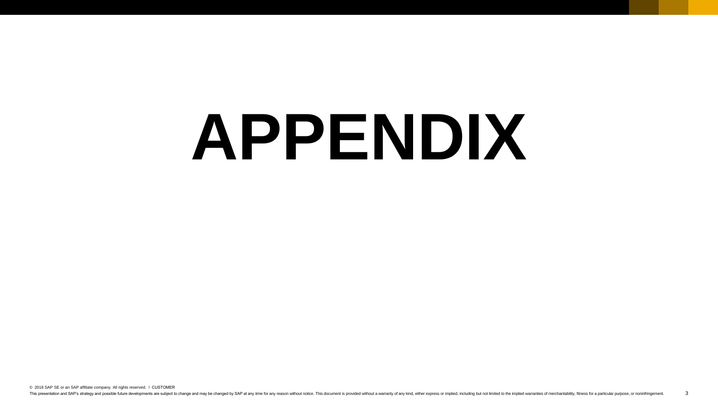# **APPENDIX**

© 2018 SAP SE or an SAP affiliate company. All rights reserved. ǀ CUSTOMER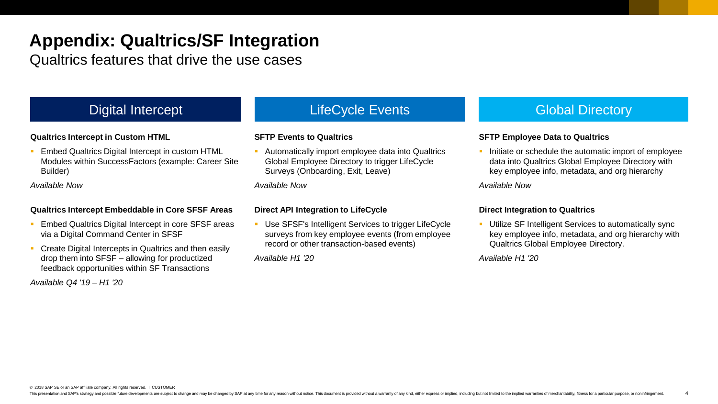Qualtrics features that drive the use cases

### **Qualtrics Intercept in Custom HTML**

**Embed Qualtrics Digital Intercept in custom HTML** Modules within SuccessFactors (example: Career Site Builder)

*Available Now*

### **Qualtrics Intercept Embeddable in Core SFSF Areas**

- **Embed Qualtrics Digital Intercept in core SFSF areas** via a Digital Command Center in SFSF
- **Create Digital Intercepts in Qualtrics and then easily** drop them into SFSF – allowing for productized feedback opportunities within SF Transactions

*Available Q4 '19 – H1 '20*

#### **SFTP Events to Qualtrics**

■ Automatically import employee data into Qualtrics Global Employee Directory to trigger LifeCycle Surveys (Onboarding, Exit, Leave)

*Available Now*

### **Direct API Integration to LifeCycle**

■ Use SFSF's Intelligent Services to trigger LifeCycle surveys from key employee events (from employee record or other transaction-based events)

*Available H1 '20*

### Digital Intercept **LifeCycle Events** And Global Directory **Constant Intervents**

### **SFTP Employee Data to Qualtrics**

Initiate or schedule the automatic import of employee data into Qualtrics Global Employee Directory with key employee info, metadata, and org hierarchy

*Available Now*

#### **Direct Integration to Qualtrics**

Utilize SF Intelligent Services to automatically sync key employee info, metadata, and org hierarchy with Qualtrics Global Employee Directory.

4

*Available H1 '20*

© 2018 SAP SE or an SAP affiliate company. All rights reserved. ǀ CUSTOMER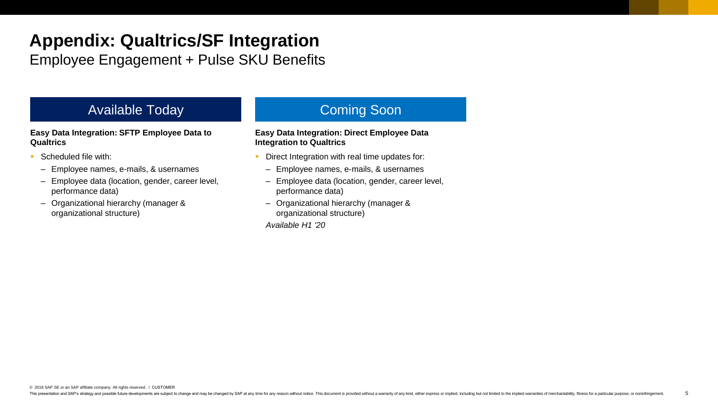Employee Engagement + Pulse SKU Benefits

### Available Today **Coming Soon**

#### **Easy Data Integration: SFTP Employee Data to Qualtrics**

- Scheduled file with:
	- Employee names, e-mails, & usernames
	- Employee data (location, gender, career level, performance data)
	- Organizational hierarchy (manager & organizational structure)

#### **Easy Data Integration: Direct Employee Data Integration to Qualtrics**

- **Direct Integration with real time updates for:** 
	- Employee names, e-mails, & usernames
	- Employee data (location, gender, career level, performance data)
	- Organizational hierarchy (manager & organizational structure)

*Available H1 '20*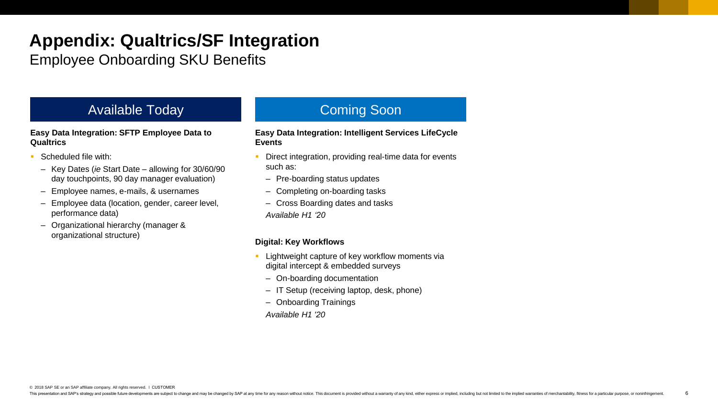Employee Onboarding SKU Benefits

### Available Today **Coming Soon**

**Easy Data Integration: SFTP Employee Data to Qualtrics**

- Scheduled file with:
	- Key Dates (*ie* Start Date allowing for 30/60/90 day touchpoints, 90 day manager evaluation)
	- Employee names, e-mails, & usernames
	- Employee data (location, gender, career level, performance data)
	- Organizational hierarchy (manager & organizational structure)

#### **Easy Data Integration: Intelligent Services LifeCycle Events**

- Direct integration, providing real-time data for events such as:
	- Pre-boarding status updates
	- Completing on-boarding tasks
	- Cross Boarding dates and tasks
	- *Available H1 '20*

### **Digital: Key Workflows**

- **EXEC** Lightweight capture of key workflow moments via digital intercept & embedded surveys
	- On-boarding documentation
	- IT Setup (receiving laptop, desk, phone)
	- Onboarding Trainings

*Available H1 '20*